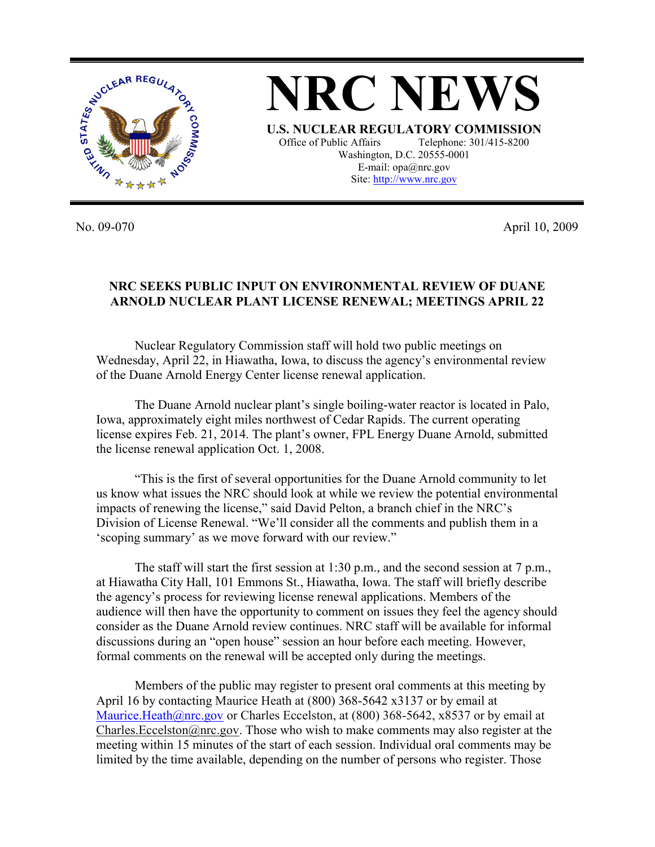

**NRC NEWS U.S. NUCLEAR REGULATORY COMMISSION** Office of Public Affairs Telephone: 301/415-8200 Washington, D.C. 20555-0001 E-mail: opa@nrc.gov Site: http://www.nrc.gov

No. 09-070 April 10, 2009

## **NRC SEEKS PUBLIC INPUT ON ENVIRONMENTAL REVIEW OF DUANE ARNOLD NUCLEAR PLANT LICENSE RENEWAL; MEETINGS APRIL 22**

Nuclear Regulatory Commission staff will hold two public meetings on Wednesday, April 22, in Hiawatha, Iowa, to discuss the agency's environmental review of the Duane Arnold Energy Center license renewal application.

The Duane Arnold nuclear plant's single boiling-water reactor is located in Palo, Iowa, approximately eight miles northwest of Cedar Rapids. The current operating license expires Feb. 21, 2014. The plant's owner, FPL Energy Duane Arnold, submitted the license renewal application Oct. 1, 2008.

"This is the first of several opportunities for the Duane Arnold community to let us know what issues the NRC should look at while we review the potential environmental impacts of renewing the license," said David Pelton, a branch chief in the NRC's Division of License Renewal. "We'll consider all the comments and publish them in a 'scoping summary' as we move forward with our review."

The staff will start the first session at 1:30 p.m., and the second session at 7 p.m., at Hiawatha City Hall, 101 Emmons St., Hiawatha, Iowa. The staff will briefly describe the agency's process for reviewing license renewal applications. Members of the audience will then have the opportunity to comment on issues they feel the agency should consider as the Duane Arnold review continues. NRC staff will be available for informal discussions during an "open house" session an hour before each meeting. However, formal comments on the renewal will be accepted only during the meetings.

 Members of the public may register to present oral comments at this meeting by April 16 by contacting Maurice Heath at (800) 368-5642 x3137 or by email at Maurice.Heath@nrc.gov or Charles Eccelston, at  $(800)$  368-5642, x8537 or by email at Charles. Eccelston@nrc.gov. Those who wish to make comments may also register at the meeting within 15 minutes of the start of each session. Individual oral comments may be limited by the time available, depending on the number of persons who register. Those